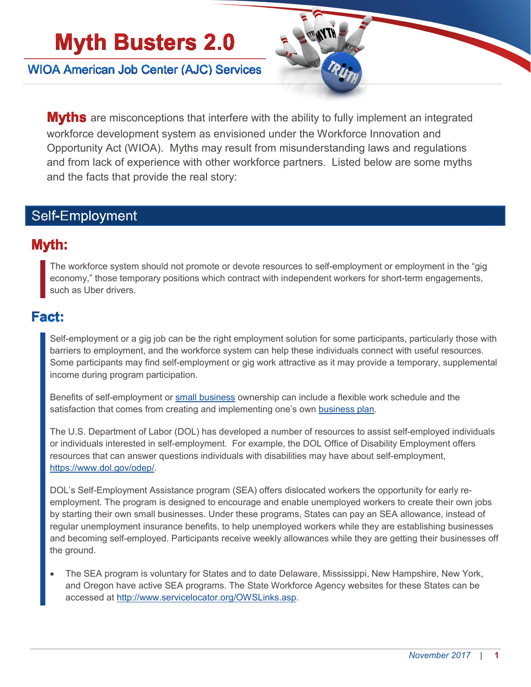# **Myth Busters 2.0**

**WIOA American Job Center (AJC) Services** 



**Myths** are misconceptions that interfere with the ability to fully implement an integrated workforce development system as envisioned under the Workforce Innovation and Opportunity Act (WIOA). Myths may result from misunderstanding laws and regulations and from lack of experience with other workforce partners. Listed below are some myths and the facts that provide the real story:

## Self-Employment

### Myth:

The workforce system should not promote or devote resources to self-employment or employment in the "gig economy," those temporary positions which contract with independent workers for short-term engagements, such as Uber drivers.

### Fact:

Self-employment or a gig job can be the right employment solution for some participants, particularly those with barriers to employment, and the workforce system can help these individuals connect with useful resources. Some participants may find self-employment or gig work attractive as it may provide a temporary, supplemental income during program participation.

Benefits of self-employment or [small business](https://www.sba.gov/business-guide/10-steps-start-your-business/) ownership can include a flexible work schedule and the satisfaction that comes from creating and implementing one's own **business plan**.

The U.S. Department of Labor (DOL) has developed a number of resources to assist self-employed individuals or individuals interested in self-employment. For example, the DOL Office of Disability Employment offers resources that can answer questions individuals with disabilities may have about self-employment, [https://www.dol.gov/odep/.](https://www.dol.gov/odep/)

DOL's Self-Employment Assistance program (SEA) offers dislocated workers the opportunity for early reemployment. The program is designed to encourage and enable unemployed workers to create their own jobs by starting their own small businesses. Under these programs, States can pay an SEA allowance, instead of regular unemployment insurance benefits, to help unemployed workers while they are establishing businesses and becoming self-employed. Participants receive weekly allowances while they are getting their businesses off the ground.

• The SEA program is voluntary for States and to date Delaware, Mississippi, New Hampshire, New York, and Oregon have active SEA programs. The State Workforce Agency websites for these States can be accessed at [http://www.servicelocator.org/OWSLinks.asp.](http://www.servicelocator.org/OWSLinks.asp)